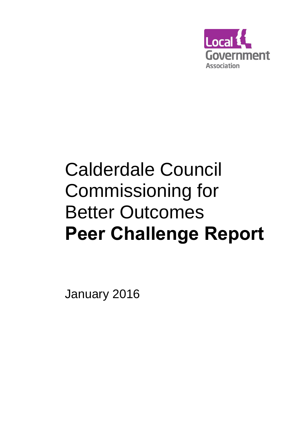

# Calderdale Council Commissioning for Better Outcomes **Peer Challenge Report**

January 2016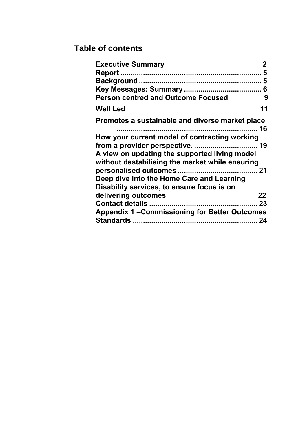## **Table of contents**

| <b>Executive Summary</b>                            |    |
|-----------------------------------------------------|----|
|                                                     | 5  |
|                                                     | 5  |
|                                                     | 6  |
| <b>Person centred and Outcome Focused</b>           | 9  |
| <b>Well Led</b>                                     | 11 |
| Promotes a sustainable and diverse market place     |    |
| How your current model of contracting working       |    |
|                                                     |    |
| A view on updating the supported living model       |    |
| without destabilising the market while ensuring     |    |
|                                                     |    |
| Deep dive into the Home Care and Learning           |    |
| Disability services, to ensure focus is on          |    |
| delivering outcomes                                 | 22 |
|                                                     |    |
| <b>Appendix 1-Commissioning for Better Outcomes</b> |    |
|                                                     |    |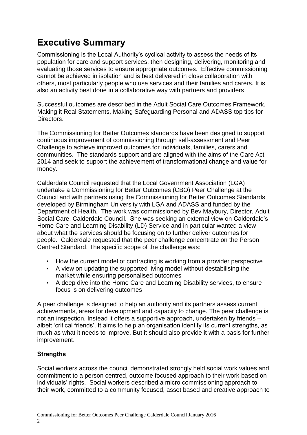# **Executive Summary**

Commissioning is the Local Authority's cyclical activity to assess the needs of its population for care and support services, then designing, delivering, monitoring and evaluating those services to ensure appropriate outcomes. Effective commissioning cannot be achieved in isolation and is best delivered in close collaboration with others, most particularly people who use services and their families and carers. It is also an activity best done in a collaborative way with partners and providers

Successful outcomes are described in the Adult Social Care Outcomes Framework, Making it Real Statements, Making Safeguarding Personal and ADASS top tips for Directors.

The Commissioning for Better Outcomes standards have been designed to support continuous improvement of commissioning through self-assessment and Peer Challenge to achieve improved outcomes for individuals, families, carers and communities. The standards support and are aligned with the aims of the Care Act 2014 and seek to support the achievement of transformational change and value for money.

Calderdale Council requested that the Local Government Association (LGA) undertake a Commissioning for Better Outcomes (CBO) Peer Challenge at the Council and with partners using the Commissioning for Better Outcomes Standards developed by Birmingham University with LGA and ADASS and funded by the Department of Health. The work was commissioned by Bev Maybury, Director, Adult Social Care, Calderdale Council. She was seeking an external view on Calderdale's Home Care and Learning Disability (LD) Service and in particular wanted a view about what the services should be focusing on to further deliver outcomes for people. Calderdale requested that the peer challenge concentrate on the Person Centred Standard. The specific scope of the challenge was:

- How the current model of contracting is working from a provider perspective
- A view on updating the supported living model without destabilising the market while ensuring personalised outcomes
- A deep dive into the Home Care and Learning Disability services, to ensure focus is on delivering outcomes

A peer challenge is designed to help an authority and its partners assess current achievements, areas for development and capacity to change. The peer challenge is not an inspection. Instead it offers a supportive approach, undertaken by friends – albeit 'critical friends'. It aims to help an organisation identify its current strengths, as much as what it needs to improve. But it should also provide it with a basis for further improvement.

## **Strengths**

Social workers across the council demonstrated strongly held social work values and commitment to a person centred, outcome focused approach to their work based on individuals' rights. Social workers described a micro commissioning approach to their work, committed to a community focused, asset based and creative approach to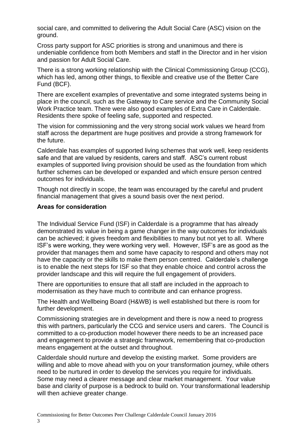social care, and committed to delivering the Adult Social Care (ASC) vision on the ground.

Cross party support for ASC priorities is strong and unanimous and there is undeniable confidence from both Members and staff in the Director and in her vision and passion for Adult Social Care.

There is a strong working relationship with the Clinical Commissioning Group (CCG), which has led, among other things, to flexible and creative use of the Better Care Fund (BCF).

There are excellent examples of preventative and some integrated systems being in place in the council, such as the Gateway to Care service and the Community Social Work Practice team. There were also good examples of Extra Care in Calderdale. Residents there spoke of feeling safe, supported and respected.

The vision for commissioning and the very strong social work values we heard from staff across the department are huge positives and provide a strong framework for the future.

Calderdale has examples of supported living schemes that work well, keep residents safe and that are valued by residents, carers and staff. ASC's current robust examples of supported living provision should be used as the foundation from which further schemes can be developed or expanded and which ensure person centred outcomes for individuals.

Though not directly in scope, the team was encouraged by the careful and prudent financial management that gives a sound basis over the next period.

#### **Areas for consideration**

The Individual Service Fund (ISF) in Calderdale is a programme that has already demonstrated its value in being a game changer in the way outcomes for individuals can be achieved; it gives freedom and flexibilities to many but not yet to all. Where ISF's were working, they were working very well. However, ISF's are as good as the provider that manages them and some have capacity to respond and others may not have the capacity or the skills to make them person centred. Calderdale's challenge is to enable the next steps for ISF so that they enable choice and control across the provider landscape and this will require the full engagement of providers.

There are opportunities to ensure that all staff are included in the approach to modernisation as they have much to contribute and can enhance progress.

The Health and Wellbeing Board (H&WB) is well established but there is room for further development.

Commissioning strategies are in development and there is now a need to progress this with partners, particularly the CCG and service users and carers. The Council is committed to a co-production model however there needs to be an increased pace and engagement to provide a strategic framework, remembering that co-production means engagement at the outset and throughout.

Calderdale should nurture and develop the existing market. Some providers are willing and able to move ahead with you on your transformation journey, while others need to be nurtured in order to develop the services you require for individuals. Some may need a clearer message and clear market management. Your value base and clarity of purpose is a bedrock to build on. Your transformational leadership will then achieve greater change.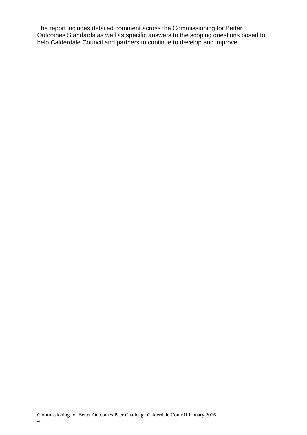The report includes detailed comment across the Commissioning for Better Outcomes Standards as well as specific answers to the scoping questions posed to help Calderdale Council and partners to continue to develop and improve.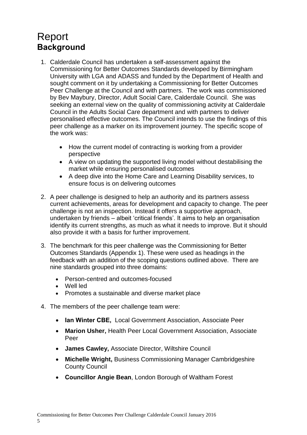## <span id="page-6-1"></span><span id="page-6-0"></span>Report **Background**

- 1. Calderdale Council has undertaken a self-assessment against the Commissioning for Better Outcomes Standards developed by Birmingham University with LGA and ADASS and funded by the Department of Health and sought comment on it by undertaking a Commissioning for Better Outcomes Peer Challenge at the Council and with partners. The work was commissioned by Bev Maybury, Director, Adult Social Care, Calderdale Council. She was seeking an external view on the quality of commissioning activity at Calderdale Council in the Adults Social Care department and with partners to deliver personalised effective outcomes. The Council intends to use the findings of this peer challenge as a marker on its improvement journey. The specific scope of the work was:
	- How the current model of contracting is working from a provider perspective
	- A view on updating the supported living model without destabilising the market while ensuring personalised outcomes
	- A deep dive into the Home Care and Learning Disability services, to ensure focus is on delivering outcomes
- 2. A peer challenge is designed to help an authority and its partners assess current achievements, areas for development and capacity to change. The peer challenge is not an inspection. Instead it offers a supportive approach, undertaken by friends – albeit 'critical friends'. It aims to help an organisation identify its current strengths, as much as what it needs to improve. But it should also provide it with a basis for further improvement.
- 3. The benchmark for this peer challenge was the Commissioning for Better Outcomes Standards (Appendix 1). These were used as headings in the feedback with an addition of the scoping questions outlined above. There are nine standards grouped into three domains:
	- Person-centred and outcomes-focused
	- Well led
	- Promotes a sustainable and diverse market place
- 4. The members of the peer challenge team were:
	- **Ian Winter CBE,** Local Government Association, Associate Peer
	- **Marion Usher,** Health Peer Local Government Association, Associate Peer
	- **James Cawley,** Associate Director, Wiltshire Council
	- **Michelle Wright,** Business Commissioning Manager Cambridgeshire County Council
	- **Councillor Angie Bean**, London Borough of Waltham Forest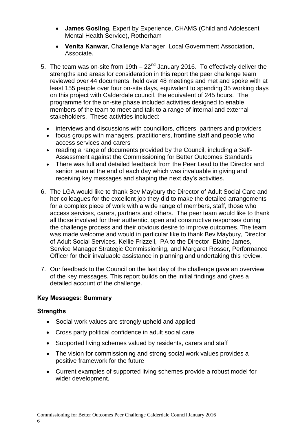- **James Gosling,** Expert by Experience, CHAMS (Child and Adolescent Mental Health Service), Rotherham
- **Venita Kanwar,** Challenge Manager, Local Government Association, Associate.
- 5. The team was on-site from  $19th 22<sup>nd</sup>$  January 2016. To effectively deliver the strengths and areas for consideration in this report the peer challenge team reviewed over 44 documents, held over 48 meetings and met and spoke with at least 155 people over four on-site days, equivalent to spending 35 working days on this project with Calderdale council, the equivalent of 245 hours. The programme for the on-site phase included activities designed to enable members of the team to meet and talk to a range of internal and external stakeholders. These activities included:
	- interviews and discussions with councillors, officers, partners and providers
	- focus groups with managers, practitioners, frontline staff and people who access services and carers
	- reading a range of documents provided by the Council, including a Self-Assessment against the Commissioning for Better Outcomes Standards
	- There was full and detailed feedback from the Peer Lead to the Director and senior team at the end of each day which was invaluable in giving and receiving key messages and shaping the next day's activities.
- 6. The LGA would like to thank Bev Maybury the Director of Adult Social Care and her colleagues for the excellent job they did to make the detailed arrangements for a complex piece of work with a wide range of members, staff, those who access services, carers, partners and others. The peer team would like to thank all those involved for their authentic, open and constructive responses during the challenge process and their obvious desire to improve outcomes. The team was made welcome and would in particular like to thank Bev Maybury, Director of Adult Social Services, Kellie Frizzell, PA to the Director, Elaine James, Service Manager Strategic Commissioning, and Margaret Rosser, Performance Officer for their invaluable assistance in planning and undertaking this review.
- 7. Our feedback to the Council on the last day of the challenge gave an overview of the key messages. This report builds on the initial findings and gives a detailed account of the challenge.

## <span id="page-7-0"></span>**Key Messages: Summary**

#### **Strengths**

- Social work values are strongly upheld and applied
- Cross party political confidence in adult social care
- Supported living schemes valued by residents, carers and staff
- The vision for commissioning and strong social work values provides a positive framework for the future
- Current examples of supported living schemes provide a robust model for wider development.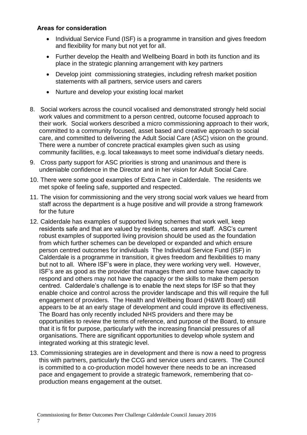- Individual Service Fund (ISF) is a programme in transition and gives freedom and flexibility for many but not yet for all.
- Further develop the Health and Wellbeing Board in both its function and its place in the strategic planning arrangement with key partners
- Develop joint commissioning strategies, including refresh market position statements with all partners, service users and carers
- Nurture and develop your existing local market
- 8. Social workers across the council vocalised and demonstrated strongly held social work values and commitment to a person centred, outcome focused approach to their work. Social workers described a micro commissioning approach to their work, committed to a community focused, asset based and creative approach to social care, and committed to delivering the Adult Social Care (ASC) vision on the ground. There were a number of concrete practical examples given such as using community facilities, e.g. local takeaways to meet some individual's dietary needs.
- 9. Cross party support for ASC priorities is strong and unanimous and there is undeniable confidence in the Director and in her vision for Adult Social Care.
- 10. There were some good examples of Extra Care in Calderdale. The residents we met spoke of feeling safe, supported and respected.
- 11. The vision for commissioning and the very strong social work values we heard from staff across the department is a huge positive and will provide a strong framework for the future
- 12. Calderdale has examples of supported living schemes that work well, keep residents safe and that are valued by residents, carers and staff. ASC's current robust examples of supported living provision should be used as the foundation from which further schemes can be developed or expanded and which ensure person centred outcomes for individuals The Individual Service Fund (ISF) in Calderdale is a programme in transition, it gives freedom and flexibilities to many but not to all. Where ISF's were in place, they were working very well. However, ISF's are as good as the provider that manages them and some have capacity to respond and others may not have the capacity or the skills to make them person centred. Calderdale's challenge is to enable the next steps for ISF so that they enable choice and control across the provider landscape and this will require the full engagement of providers. The Health and Wellbeing Board (H&WB Board) still appears to be at an early stage of development and could improve its effectiveness. The Board has only recently included NHS providers and there may be opportunities to review the terms of reference, and purpose of the Board, to ensure that it is fit for purpose, particularly with the increasing financial pressures of all organisations. There are significant opportunities to develop whole system and integrated working at this strategic level.
- 13. Commissioning strategies are in development and there is now a need to progress this with partners, particularly the CCG and service users and carers. The Council is committed to a co-production model however there needs to be an increased pace and engagement to provide a strategic framework, remembering that coproduction means engagement at the outset.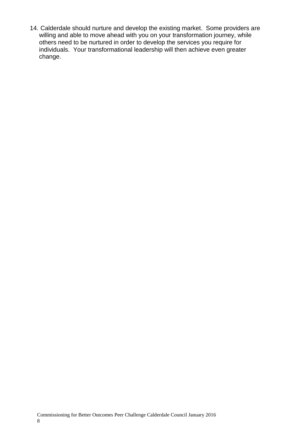14. Calderdale should nurture and develop the existing market. Some providers are willing and able to move ahead with you on your transformation journey, while others need to be nurtured in order to develop the services you require for individuals. Your transformational leadership will then achieve even greater change.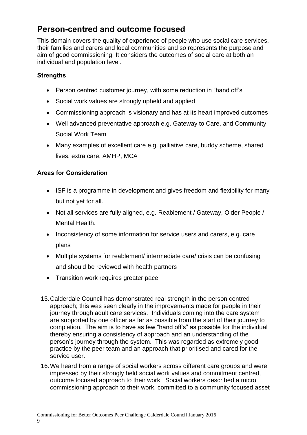## **Person-centred and outcome focused**

This domain covers the quality of experience of people who use social care services, their families and carers and local communities and so represents the purpose and aim of good commissioning. It considers the outcomes of social care at both an individual and population level.

## **Strengths**

- Person centred customer journey, with some reduction in "hand off's"
- Social work values are strongly upheld and applied
- Commissioning approach is visionary and has at its heart improved outcomes
- Well advanced preventative approach e.g. Gateway to Care, and Community Social Work Team
- Many examples of excellent care e.g. palliative care, buddy scheme, shared lives, extra care, AMHP, MCA

- ISF is a programme in development and gives freedom and flexibility for many but not yet for all.
- Not all services are fully aligned, e.g. Reablement / Gateway, Older People / Mental Health.
- Inconsistency of some information for service users and carers, e.g. care plans
- Multiple systems for reablement/ intermediate care/ crisis can be confusing and should be reviewed with health partners
- Transition work requires greater pace
- 15.Calderdale Council has demonstrated real strength in the person centred approach; this was seen clearly in the improvements made for people in their journey through adult care services. Individuals coming into the care system are supported by one officer as far as possible from the start of their journey to completion. The aim is to have as few "hand off's" as possible for the individual thereby ensuring a consistency of approach and an understanding of the person's journey through the system. This was regarded as extremely good practice by the peer team and an approach that prioritised and cared for the service user.
- 16.We heard from a range of social workers across different care groups and were impressed by their strongly held social work values and commitment centred, outcome focused approach to their work. Social workers described a micro commissioning approach to their work, committed to a community focused asset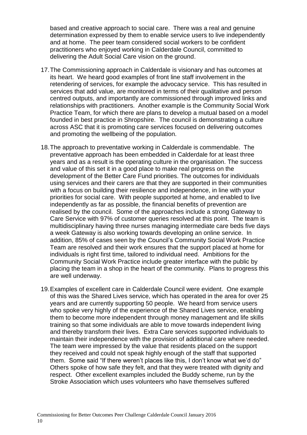based and creative approach to social care. There was a real and genuine determination expressed by them to enable service users to live independently and at home. The peer team considered social workers to be confident practitioners who enjoyed working in Calderdale Council, committed to delivering the Adult Social Care vision on the ground.

- 17.The Commissioning approach in Calderdale is visionary and has outcomes at its heart. We heard good examples of front line staff involvement in the retendering of services, for example the advocacy service. This has resulted in services that add value, are monitored in terms of their qualitative and person centred outputs, and importantly are commissioned through improved links and relationships with practitioners. Another example is the Community Social Work Practice Team, for which there are plans to develop a mutual based on a model founded in best practice in Shropshire. The council is demonstrating a culture across ASC that it is promoting care services focused on delivering outcomes and promoting the wellbeing of the population.
- 18.The approach to preventative working in Calderdale is commendable. The preventative approach has been embedded in Calderdale for at least three years and as a result is the operating culture in the organisation. The success and value of this set it in a good place to make real progress on the development of the Better Care Fund priorities. The outcomes for individuals using services and their carers are that they are supported in their communities with a focus on building their resilience and independence, in line with your priorities for social care. With people supported at home, and enabled to live independently as far as possible, the financial benefits of prevention are realised by the council. Some of the approaches include a strong Gateway to Care Service with 97% of customer queries resolved at this point. The team is multidisciplinary having three nurses managing intermediate care beds five days a week Gateway is also working towards developing an online service. In addition, 85% of cases seen by the Council's Community Social Work Practice Team are resolved and their work ensures that the support placed at home for individuals is right first time, tailored to individual need. Ambitions for the Community Social Work Practice include greater interface with the public by placing the team in a shop in the heart of the community. Plans to progress this are well underway.
- 19.Examples of excellent care in Calderdale Council were evident. One example of this was the Shared Lives service, which has operated in the area for over 25 years and are currently supporting 50 people. We heard from service users who spoke very highly of the experience of the Shared Lives service, enabling them to become more independent through money management and life skills training so that some individuals are able to move towards independent living and thereby transform their lives. Extra Care services supported individuals to maintain their independence with the provision of additional care where needed. The team were impressed by the value that residents placed on the support they received and could not speak highly enough of the staff that supported them. Some said "If there weren't places like this, I don't know what we'd do" Others spoke of how safe they felt, and that they were treated with dignity and respect. Other excellent examples included the Buddy scheme, run by the Stroke Association which uses volunteers who have themselves suffered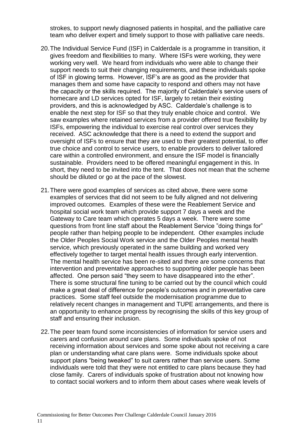strokes, to support newly diagnosed patients in hospital, and the palliative care team who deliver expert and timely support to those with palliative care needs.

- 20.The Individual Service Fund (ISF) in Calderdale is a programme in transition, it gives freedom and flexibilities to many. Where ISFs were working, they were working very well. We heard from individuals who were able to change their support needs to suit their changing requirements, and these individuals spoke of ISF in glowing terms. However, ISF's are as good as the provider that manages them and some have capacity to respond and others may not have the capacity or the skills required. The majority of Calderdale's service users of homecare and LD services opted for ISF, largely to retain their existing providers, and this is acknowledged by ASC. Calderdale's challenge is to enable the next step for ISF so that they truly enable choice and control. We saw examples where retained services from a provider offered true flexibility by ISFs, empowering the individual to exercise real control over services they received. ASC acknowledge that there is a need to extend the support and oversight of ISFs to ensure that they are used to their greatest potential, to offer true choice and control to service users, to enable providers to deliver tailored care within a controlled environment, and ensure the ISF model is financially sustainable. Providers need to be offered meaningful engagement in this. In short, they need to be invited into the tent. That does not mean that the scheme should be diluted or go at the pace of the slowest.
- 21.There were good examples of services as cited above, there were some examples of services that did not seem to be fully aligned and not delivering improved outcomes. Examples of these were the Reablement Service and hospital social work team which provide support 7 days a week and the Gateway to Care team which operates 5 days a week. There were some questions from front line staff about the Reablement Service "doing things for" people rather than helping people to be independent. Other examples include the Older Peoples Social Work service and the Older Peoples mental health service, which previously operated in the same building and worked very effectively together to target mental health issues through early intervention. The mental health service has been re-sited and there are some concerns that intervention and preventative approaches to supporting older people has been affected. One person said "they seem to have disappeared into the ether". There is some structural fine tuning to be carried out by the council which could make a great deal of difference for people's outcomes and in preventative care practices. Some staff feel outside the modernisation programme due to relatively recent changes in management and TUPE arrangements, and there is an opportunity to enhance progress by recognising the skills of this key group of staff and ensuring their inclusion.
- 22.The peer team found some inconsistencies of information for service users and carers and confusion around care plans. Some individuals spoke of not receiving information about services and some spoke about not receiving a care plan or understanding what care plans were. Some individuals spoke about support plans "being tweaked" to suit carers rather than service users. Some individuals were told that they were not entitled to care plans because they had close family. Carers of individuals spoke of frustration about not knowing how to contact social workers and to inform them about cases where weak levels of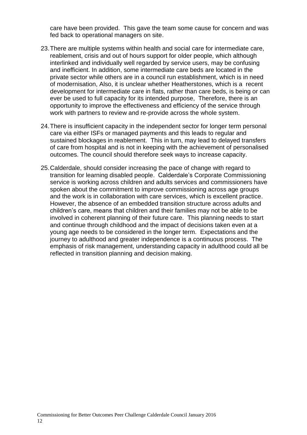care have been provided. This gave the team some cause for concern and was fed back to operational managers on site.

- 23.There are multiple systems within health and social care for intermediate care, reablement, crisis and out of hours support for older people, which although interlinked and individually well regarded by service users, may be confusing and inefficient. In addition, some intermediate care beds are located in the private sector while others are in a council run establishment, which is in need of modernisation, Also, it is unclear whether Heatherstones, which is a recent development for intermediate care in flats, rather than care beds, is being or can ever be used to full capacity for its intended purpose, Therefore, there is an opportunity to improve the effectiveness and efficiency of the service through work with partners to review and re-provide across the whole system.
- 24.There is insufficient capacity in the independent sector for longer term personal care via either ISFs or managed payments and this leads to regular and sustained blockages in reablement. This in turn, may lead to delayed transfers of care from hospital and is not in keeping with the achievement of personalised outcomes. The council should therefore seek ways to increase capacity.
- 25.Calderdale, should consider increasing the pace of change with regard to transition for learning disabled people. Calderdale's Corporate Commissioning service is working across children and adults services and commissioners have spoken about the commitment to improve commissioning across age groups and the work is in collaboration with care services, which is excellent practice. However, the absence of an embedded transition structure across adults and children's care, means that children and their families may not be able to be involved in coherent planning of their future care. This planning needs to start and continue through childhood and the impact of decisions taken even at a young age needs to be considered in the longer term. Expectations and the journey to adulthood and greater independence is a continuous process. The emphasis of risk management, understanding capacity in adulthood could all be reflected in transition planning and decision making.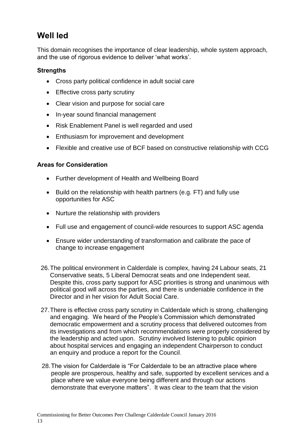## **Well led**

This domain recognises the importance of clear leadership, whole system approach, and the use of rigorous evidence to deliver 'what works'.

## **Strengths**

- Cross party political confidence in adult social care
- Effective cross party scrutiny
- Clear vision and purpose for social care
- In-year sound financial management
- Risk Enablement Panel is well regarded and used
- Enthusiasm for improvement and development
- Flexible and creative use of BCF based on constructive relationship with CCG

- Further development of Health and Wellbeing Board
- $\bullet$  Build on the relationship with health partners (e.g. FT) and fully use opportunities for ASC
- Nurture the relationship with providers
- Full use and engagement of council-wide resources to support ASC agenda
- Ensure wider understanding of transformation and calibrate the pace of change to increase engagement
- 26.The political environment in Calderdale is complex, having 24 Labour seats, 21 Conservative seats, 5 Liberal Democrat seats and one Independent seat. Despite this, cross party support for ASC priorities is strong and unanimous with political good will across the parties, and there is undeniable confidence in the Director and in her vision for Adult Social Care.
- 27.There is effective cross party scrutiny in Calderdale which is strong, challenging and engaging. We heard of the People's Commission which demonstrated democratic empowerment and a scrutiny process that delivered outcomes from its investigations and from which recommendations were properly considered by the leadership and acted upon. Scrutiny involved listening to public opinion about hospital services and engaging an independent Chairperson to conduct an enquiry and produce a report for the Council.
- 28.The vision for Calderdale is "For Calderdale to be an attractive place where people are prosperous, healthy and safe, supported by excellent services and a place where we value everyone being different and through our actions demonstrate that everyone matters". It was clear to the team that the vision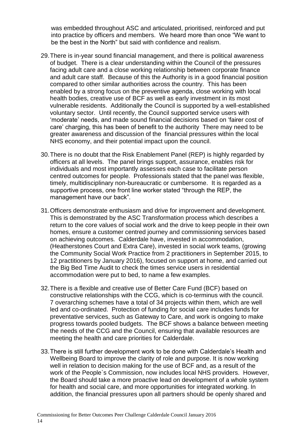was embedded throughout ASC and articulated, prioritised, reinforced and put into practice by officers and members. We heard more than once "We want to be the best in the North" but said with confidence and realism.

- 29.There is in-year sound financial management, and there is political awareness of budget. There is a clear understanding within the Council of the pressures facing adult care and a close working relationship between corporate finance and adult care staff. Because of this the Authority is in a good financial position compared to other similar authorities across the country. This has been enabled by a strong focus on the preventive agenda, close working with local health bodies, creative use of BCF as well as early investment in its most vulnerable residents. Additionally the Council is supported by a well-established voluntary sector. Until recently, the Council supported service users with 'moderate' needs, and made sound financial decisions based on 'fairer cost of care' charging, this has been of benefit to the authority There may need to be greater awareness and discussion of the financial pressures within the local NHS economy, and their potential impact upon the council.
- 30.There is no doubt that the Risk Enablement Panel (REP) is highly regarded by officers at all levels. The panel brings support, assurance, enables risk for individuals and most importantly assesses each case to facilitate person centred outcomes for people. Professionals stated that the panel was flexible, timely, multidisciplinary non-bureaucratic or cumbersome. It is regarded as a supportive process, one front line worker stated "through the REP, the management have our back".
- 31.Officers demonstrate enthusiasm and drive for improvement and development. This is demonstrated by the ASC Transformation process which describes a return to the core values of social work and the drive to keep people in their own homes, ensure a customer centred journey and commissioning services based on achieving outcomes. Calderdale have, invested in accommodation, (Heatherstones Court and Extra Care), invested in social work teams, (growing the Community Social Work Practice from 2 practitioners in September 2015, to 12 practitioners by January 2016), focused on support at home, and carried out the Big Bed Time Audit to check the times service users in residential accommodation were put to bed, to name a few examples.
- 32.There is a flexible and creative use of Better Care Fund (BCF) based on constructive relationships with the CCG, which is co-terminus with the council. 7 overarching schemes have a total of 34 projects within them, which are well led and co-ordinated. Protection of funding for social care includes funds for preventative services, such as Gateway to Care, and work is ongoing to make progress towards pooled budgets. The BCF shows a balance between meeting the needs of the CCG and the Council, ensuring that available resources are meeting the health and care priorities for Calderdale.
- 33.There is still further development work to be done with Calderdale's Health and Wellbeing Board to improve the clarity of role and purpose. It is now working well in relation to decision making for the use of BCF and, as a result of the work of the People`s Commission, now includes local NHS providers. However, the Board should take a more proactive lead on development of a whole system for health and social care, and more opportunities for integrated working. In addition, the financial pressures upon all partners should be openly shared and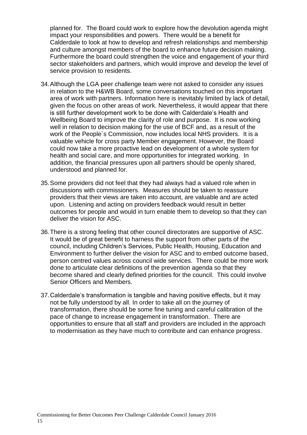planned for. The Board could work to explore how the devolution agenda might impact your responsibilities and powers. There would be a benefit for Calderdale to look at how to develop and refresh relationships and membership and culture amongst members of the board to enhance future decision making. Furthermore the board could strengthen the voice and engagement of your third sector stakeholders and partners, which would improve and develop the level of service provision to residents.

- 34.Although the LGA peer challenge team were not asked to consider any issues in relation to the H&WB Board, some conversations touched on this important area of work with partners. Information here is inevitably limited by lack of detail, given the focus on other areas of work. Nevertheless, it would appear that there is still further development work to be done with Calderdale's Health and Wellbeing Board to improve the clarity of role and purpose. It is now working well in relation to decision making for the use of BCF and, as a result of the work of the People`s Commission, now includes local NHS providers. It is a valuable vehicle for cross party Member engagement. However, the Board could now take a more proactive lead on development of a whole system for health and social care, and more opportunities for integrated working. In addition, the financial pressures upon all partners should be openly shared, understood and planned for.
- 35.Some providers did not feel that they had always had a valued role when in discussions with commissioners. Measures should be taken to reassure providers that their views are taken into account, are valuable and are acted upon. Listening and acting on providers feedback would result in better outcomes for people and would in turn enable them to develop so that they can deliver the vision for ASC.
- 36.There is a strong feeling that other council directorates are supportive of ASC. It would be of great benefit to harness the support from other parts of the council, including Children's Services, Public Health, Housing, Education and Environment to further deliver the vision for ASC and to embed outcome based, person centred values across council wide services. There could be more work done to articulate clear definitions of the prevention agenda so that they become shared and clearly defined priorities for the council. This could involve Senior Officers and Members.
- 37.Calderdale's transformation is tangible and having positive effects, but it may not be fully understood by all. In order to take all on the journey of transformation, there should be some fine tuning and careful calibration of the pace of change to increase engagement in transformation. There are opportunities to ensure that all staff and providers are included in the approach to modernisation as they have much to contribute and can enhance progress.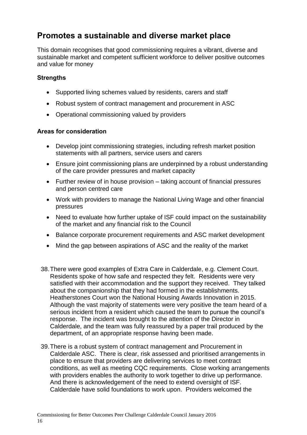## <span id="page-17-0"></span>**Promotes a sustainable and diverse market place**

This domain recognises that good commissioning requires a vibrant, diverse and sustainable market and competent sufficient workforce to deliver positive outcomes and value for money

#### **Strengths**

- Supported living schemes valued by residents, carers and staff
- Robust system of contract management and procurement in ASC
- Operational commissioning valued by providers

- Develop joint commissioning strategies, including refresh market position statements with all partners, service users and carers
- Ensure joint commissioning plans are underpinned by a robust understanding of the care provider pressures and market capacity
- Further review of in house provision taking account of financial pressures and person centred care
- Work with providers to manage the National Living Wage and other financial pressures
- Need to evaluate how further uptake of ISF could impact on the sustainability of the market and any financial risk to the Council
- Balance corporate procurement requirements and ASC market development
- Mind the gap between aspirations of ASC and the reality of the market
- 38.There were good examples of Extra Care in Calderdale, e.g. Clement Court. Residents spoke of how safe and respected they felt. Residents were very satisfied with their accommodation and the support they received. They talked about the companionship that they had formed in the establishments. Heatherstones Court won the National Housing Awards Innovation in 2015. Although the vast majority of statements were very positive the team heard of a serious incident from a resident which caused the team to pursue the council's response. The incident was brought to the attention of the Director in Calderdale, and the team was fully reassured by a paper trail produced by the department, of an appropriate response having been made.
- 39.There is a robust system of contract management and Procurement in Calderdale ASC. There is clear, risk assessed and prioritised arrangements in place to ensure that providers are delivering services to meet contract conditions, as well as meeting CQC requirements. Close working arrangements with providers enables the authority to work together to drive up performance. And there is acknowledgement of the need to extend oversight of ISF. Calderdale have solid foundations to work upon. Providers welcomed the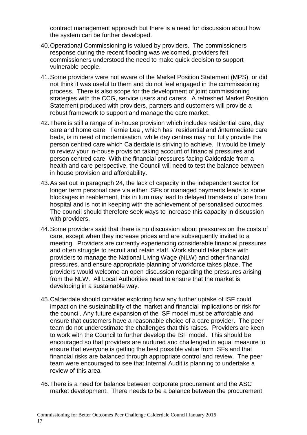contract management approach but there is a need for discussion about how the system can be further developed.

- 40.Operational Commissioning is valued by providers. The commissioners response during the recent flooding was welcomed, providers felt commissioners understood the need to make quick decision to support vulnerable people.
- 41.Some providers were not aware of the Market Position Statement (MPS), or did not think it was useful to them and do not feel engaged in the commissioning process. There is also scope for the development of joint commissioning strategies with the CCG, service users and carers. A refreshed Market Position Statement produced with providers, partners and customers will provide a robust framework to support and manage the care market.
- 42.There is still a range of in-house provision which includes residential care, day care and home care. Fernie Lea , which has residential and /intermediate care beds, is in need of modernisation, while day centres may not fully provide the person centred care which Calderdale is striving to achieve. It would be timely to review your in-house provision taking account of financial pressures and person centred care With the financial pressures facing Calderdale from a health and care perspective, the Council will need to test the balance between in house provision and affordability.
- 43.As set out in paragraph 24, the lack of capacity in the independent sector for longer term personal care via either ISFs or managed payments leads to some blockages in reablement, this in turn may lead to delayed transfers of care from hospital and is not in keeping with the achievement of personalised outcomes. The council should therefore seek ways to increase this capacity in discussion with providers.
- 44.Some providers said that there is no discussion about pressures on the costs of care, except when they increase prices and are subsequently invited to a meeting. Providers are currently experiencing considerable financial pressures and often struggle to recruit and retain staff. Work should take place with providers to manage the National Living Wage (NLW) and other financial pressures, and ensure appropriate planning of workforce takes place. The providers would welcome an open discussion regarding the pressures arising from the NLW. All Local Authorities need to ensure that the market is developing in a sustainable way.
- 45.Calderdale should consider exploring how any further uptake of ISF could impact on the sustainability of the market and financial implications or risk for the council. Any future expansion of the ISF model must be affordable and ensure that customers have a reasonable choice of a care provider. The peer team do not underestimate the challenges that this raises. Providers are keen to work with the Council to further develop the ISF model. This should be encouraged so that providers are nurtured and challenged in equal measure to ensure that everyone is getting the best possible value from ISFs and that financial risks are balanced through appropriate control and review. The peer team were encouraged to see that Internal Audit is planning to undertake a review of this area
- 46.There is a need for balance between corporate procurement and the ASC market development. There needs to be a balance between the procurement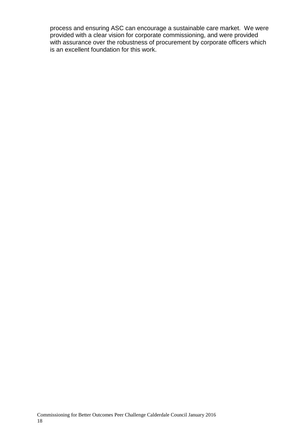process and ensuring ASC can encourage a sustainable care market. We were provided with a clear vision for corporate commissioning, and were provided with assurance over the robustness of procurement by corporate officers which is an excellent foundation for this work.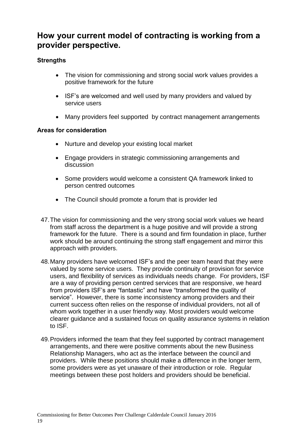## <span id="page-20-0"></span>**How your current model of contracting is working from a provider perspective.**

## **Strengths**

- The vision for commissioning and strong social work values provides a positive framework for the future
- ISF's are welcomed and well used by many providers and valued by service users
- Many providers feel supported by contract management arrangements

- Nurture and develop your existing local market
- Engage providers in strategic commissioning arrangements and discussion
- Some providers would welcome a consistent QA framework linked to person centred outcomes
- The Council should promote a forum that is provider led
- 47.The vision for commissioning and the very strong social work values we heard from staff across the department is a huge positive and will provide a strong framework for the future. There is a sound and firm foundation in place, further work should be around continuing the strong staff engagement and mirror this approach with providers.
- 48.Many providers have welcomed ISF's and the peer team heard that they were valued by some service users. They provide continuity of provision for service users, and flexibility of services as individuals needs change. For providers, ISF are a way of providing person centred services that are responsive, we heard from providers ISF's are "fantastic" and have "transformed the quality of service". However, there is some inconsistency among providers and their current success often relies on the response of individual providers, not all of whom work together in a user friendly way. Most providers would welcome clearer guidance and a sustained focus on quality assurance systems in relation to ISF.
- 49.Providers informed the team that they feel supported by contract management arrangements, and there were positive comments about the new Business Relationship Managers, who act as the interface between the council and providers. While these positions should make a difference in the longer term, some providers were as yet unaware of their introduction or role. Regular meetings between these post holders and providers should be beneficial.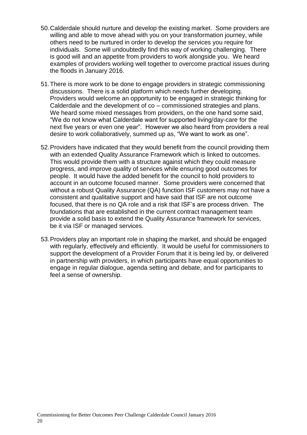- 50.Calderdale should nurture and develop the existing market. Some providers are willing and able to move ahead with you on your transformation journey, while others need to be nurtured in order to develop the services you require for individuals. Some will undoubtedly find this way of working challenging. There is good will and an appetite from providers to work alongside you. We heard examples of providers working well together to overcome practical issues during the floods in January 2016.
- 51.There is more work to be done to engage providers in strategic commissioning discussions. There is a solid platform which needs further developing. Providers would welcome an opportunity to be engaged in strategic thinking for Calderdale and the development of co – commissioned strategies and plans. We heard some mixed messages from providers, on the one hand some said, "We do not know what Calderdale want for supported living/day-care for the next five years or even one year". However we also heard from providers a real desire to work collaboratively, summed up as, "We want to work as one".
- 52.Providers have indicated that they would benefit from the council providing them with an extended Quality Assurance Framework which is linked to outcomes. This would provide them with a structure against which they could measure progress, and improve quality of services while ensuring good outcomes for people. It would have the added benefit for the council to hold providers to account in an outcome focused manner. Some providers were concerned that without a robust Quality Assurance (QA) function ISF customers may not have a consistent and qualitative support and have said that ISF are not outcome focused, that there is no QA role and a risk that ISF's are process driven. The foundations that are established in the current contract management team provide a solid basis to extend the Quality Assurance framework for services, be it via ISF or managed services.
- 53.Providers play an important role in shaping the market, and should be engaged with regularly, effectively and efficiently. It would be useful for commissioners to support the development of a Provider Forum that it is being led by, or delivered in partnership with providers, in which participants have equal opportunities to engage in regular dialogue, agenda setting and debate, and for participants to feel a sense of ownership.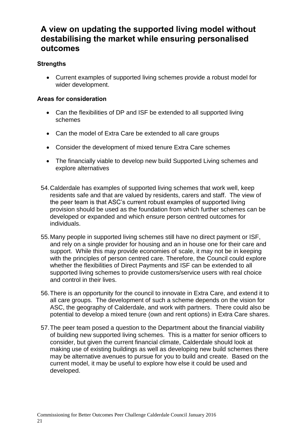## <span id="page-22-0"></span>**A view on updating the supported living model without destabilising the market while ensuring personalised outcomes**

## **Strengths**

 Current examples of supported living schemes provide a robust model for wider development.

- Can the flexibilities of DP and ISF be extended to all supported living schemes
- Can the model of Extra Care be extended to all care groups
- Consider the development of mixed tenure Extra Care schemes
- The financially viable to develop new build Supported Living schemes and explore alternatives
- 54.Calderdale has examples of supported living schemes that work well, keep residents safe and that are valued by residents, carers and staff. The view of the peer team is that ASC's current robust examples of supported living provision should be used as the foundation from which further schemes can be developed or expanded and which ensure person centred outcomes for individuals.
- 55.Many people in supported living schemes still have no direct payment or ISF, and rely on a single provider for housing and an in house one for their care and support. While this may provide economies of scale, it may not be in keeping with the principles of person centred care. Therefore, the Council could explore whether the flexibilities of Direct Payments and ISF can be extended to all supported living schemes to provide customers/service users with real choice and control in their lives.
- 56.There is an opportunity for the council to innovate in Extra Care, and extend it to all care groups. The development of such a scheme depends on the vision for ASC, the geography of Calderdale, and work with partners. There could also be potential to develop a mixed tenure (own and rent options) in Extra Care shares.
- 57.The peer team posed a question to the Department about the financial viability of building new supported living schemes. This is a matter for senior officers to consider, but given the current financial climate, Calderdale should look at making use of existing buildings as well as developing new build schemes there may be alternative avenues to pursue for you to build and create. Based on the current model, it may be useful to explore how else it could be used and developed.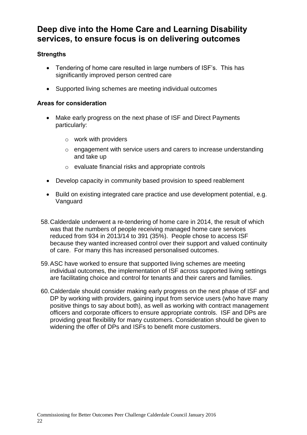## **Deep dive into the Home Care and Learning Disability services, to ensure focus is on delivering outcomes**

## **Strengths**

- Tendering of home care resulted in large numbers of ISF's. This has significantly improved person centred care
- Supported living schemes are meeting individual outcomes

- Make early progress on the next phase of ISF and Direct Payments particularly:
	- o work with providers
	- o engagement with service users and carers to increase understanding and take up
	- o evaluate financial risks and appropriate controls
- Develop capacity in community based provision to speed reablement
- Build on existing integrated care practice and use development potential, e.g. Vanguard
- 58.Calderdale underwent a re-tendering of home care in 2014, the result of which was that the numbers of people receiving managed home care services reduced from 934 in 2013/14 to 391 (35%). People chose to access ISF because they wanted increased control over their support and valued continuity of care. For many this has increased personalised outcomes.
- 59.ASC have worked to ensure that supported living schemes are meeting individual outcomes, the implementation of ISF across supported living settings are facilitating choice and control for tenants and their carers and families.
- 60.Calderdale should consider making early progress on the next phase of ISF and DP by working with providers, gaining input from service users (who have many positive things to say about both), as well as working with contract management officers and corporate officers to ensure appropriate controls. ISF and DPs are providing great flexibility for many customers. Consideration should be given to widening the offer of DPs and ISFs to benefit more customers.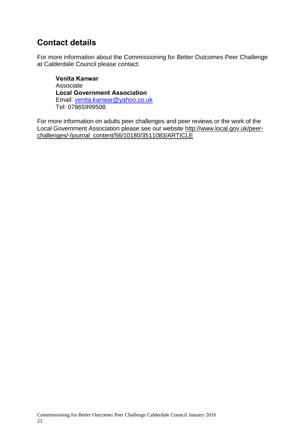## <span id="page-24-0"></span>**Contact details**

For more information about the Commissioning for Better Outcomes Peer Challenge at Calderdale Council please contact:

**Venita Kanwar** Associate **Local Government Association** Email: [venita.kanwar@yahoo.co.uk](mailto:venita.kanwar@yahoo.co.uk) Tel: 07865999508

For more information on adults peer challenges and peer reviews or the work of the Local Government Association please see our website [http://www.local.gov.uk/peer](http://www.local.gov.uk/peer-challenges/-/journal_content/56/10180/3511083/ARTICLE)[challenges/-/journal\\_content/56/10180/3511083/ARTICLE](http://www.local.gov.uk/peer-challenges/-/journal_content/56/10180/3511083/ARTICLE)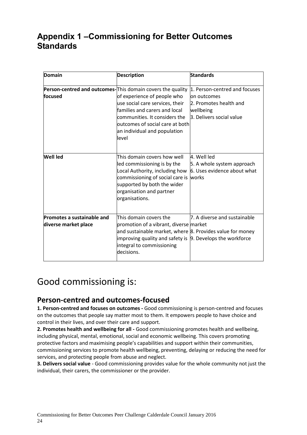## <span id="page-25-0"></span>**Appendix 1 –Commissioning for Better Outcomes Standards**

| Domain                                                                         | <b>Description</b>                                                                                                                                                                                                                           | <b>Standards</b>                                                                                                 |
|--------------------------------------------------------------------------------|----------------------------------------------------------------------------------------------------------------------------------------------------------------------------------------------------------------------------------------------|------------------------------------------------------------------------------------------------------------------|
| <b>Person-centred and outcomes-</b> This domain covers the quality<br>lfocused | of experience of people who<br>use social care services, their<br>families and carers and local<br>communities. It considers the<br>outcomes of social care at both<br>an individual and population<br>level                                 | 1. Person-centred and focuses<br>lon outcomes<br>2. Promotes health and<br>wellbeing<br>3. Delivers social value |
| <b>Well led</b>                                                                | This domain covers how well<br>led commissioning is by the<br>Local Authority, including how<br>commissioning of social care is<br>supported by both the wider<br>organisation and partner<br>organisations.                                 | 4. Well led<br>5. A whole system approach<br>6. Uses evidence about what<br>works                                |
| Promotes a sustainable and<br>diverse market place                             | This domain covers the<br>promotion of a vibrant, diverse market<br>and sustainable market, where 8. Provides value for money<br>improving quality and safety is $\beta$ . Develops the workforce<br>integral to commissioning<br>decisions. | 7. A diverse and sustainable                                                                                     |

# Good commissioning is:

## **Person-centred and outcomes-focused**

**1. Person-centred and focuses on outcomes -** Good commissioning is person-centred and focuses on the outcomes that people say matter most to them. It empowers people to have choice and control in their lives, and over their care and support.

**2. Promotes health and wellbeing for all -** Good commissioning promotes health and wellbeing, including physical, mental, emotional, social and economic wellbeing. This covers promoting protective factors and maximising people's capabilities and support within their communities, commissioning services to promote health wellbeing, preventing, delaying or reducing the need for services, and protecting people from abuse and neglect.

**3. Delivers social value** - Good commissioning provides value for the whole community not just the individual, their carers, the commissioner or the provider.